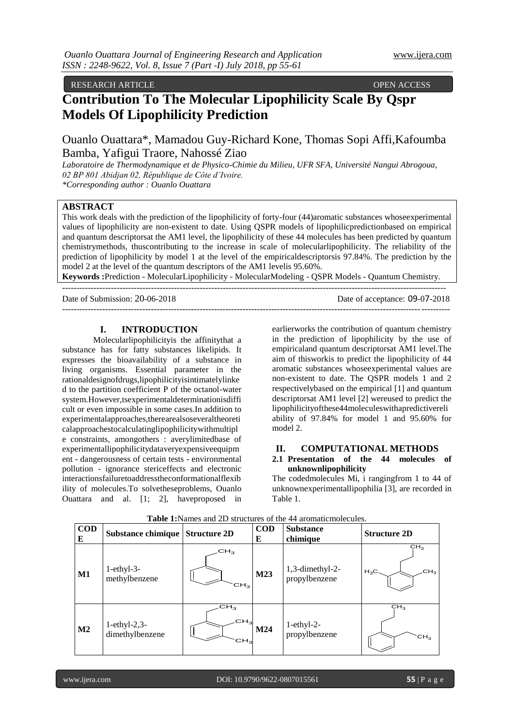RESEARCH ARTICLE OPEN ACCESS

# **Contribution To The Molecular Lipophilicity Scale By Qspr Models Of Lipophilicity Prediction**

Ouanlo Ouattara\*, Mamadou Guy-Richard Kone, Thomas Sopi Affi,Kafoumba Bamba, Yafigui Traore, Nahossé Ziao

*Laboratoire de Thermodynamique et de Physico-Chimie du Milieu, UFR SFA, Université Nangui Abrogoua, 02 BP 801 Abidjan 02, République de Côte d'Ivoire. \*Corresponding author : Ouanlo Ouattara*

## **ABSTRACT**

This work deals with the prediction of the lipophilicity of forty-four (44)aromatic substances whoseexperimental values of lipophilicity are non-existent to date. Using QSPR models of lipophilicpredictionbased on empirical and quantum descriptorsat the AM1 level, the lipophilicity of these 44 molecules has been predicted by quantum chemistrymethods, thuscontributing to the increase in scale of molecularlipophilicity. The reliability of the prediction of lipophilicity by model 1 at the level of the empiricaldescriptorsis 97.84%. The prediction by the model 2 at the level of the quantum descriptors of the AM1 levelis 95.60%.

**Keywords :**Prediction - MolecularLipophilicity - MolecularModeling - QSPR Models - Quantum Chemistry. --------------------------------------------------------------------------------------------------------------------------------------

Date of Submission: 20-06-2018 Date of acceptance: 09-07-2018

---------------------------------------------------------------------------------------------------------------------------------------

## **I. INTRODUCTION**

Molecularlipophilicityis the affinitythat a substance has for fatty substances likelipids. It expresses the bioavailability of a substance in living organisms. Essential parameter in the rationaldesignofdrugs,lipophilicityisintimatelylinke d to the partition coefficient P of the octanol-water system.However,tsexperimentaldeterminationisdiffi cult or even impossible in some cases.In addition to experimentalapproaches,therearealsoseveraltheoreti calapproachestocalculatinglipophilicitywithmultipl e constraints, amongothers : averylimitedbase of experimentallipophilicitydataveryexpensiveequipm ent - dangerousness of certain tests - environmental pollution - ignorance stericeffects and electronic interactionsfailuretoaddresstheconformationalflexib ility of molecules.To solvetheseproblems, Ouanlo Ouattara and al. [1; 2], haveproposed in

earlierworks the contribution of quantum chemistry in the prediction of lipophilicity by the use of empiricaland quantum descriptorsat AM1 level.The aim of thisworkis to predict the lipophilicity of 44 aromatic substances whoseexperimental values are non-existent to date. The QSPR models 1 and 2 respectivelybased on the empirical [1] and quantum descriptorsat AM1 level [2] wereused to predict the lipophilicityofthese44moleculeswithapredictivereli ability of 97.84% for model 1 and 95.60% for model 2.

## **II. COMPUTATIONAL METHODS**

## **2.1 Presentation of the 44 molecules of unknownlipophilicity**

The codedmolecules Mi, i rangingfrom 1 to 44 of unknownexperimentallipophilia [3], are recorded in Table 1.

| <b>COD</b><br>E | Substance chimique                 | <b>Structure 2D</b>                                   | <b>COD</b><br>E | <b>Substance</b><br>chimique        | <b>Structure 2D</b>                          |
|-----------------|------------------------------------|-------------------------------------------------------|-----------------|-------------------------------------|----------------------------------------------|
| M1              | $1$ -ethy $1-3-$<br>methylbenzene  | CH <sub>3</sub><br>CH <sub>3</sub>                    | M23             | $1,3$ -dimethyl-2-<br>propylbenzene | CH <sub>3</sub><br>CH <sub>3</sub><br>$H_3C$ |
| $\mathbf{M2}$   | $1$ -ethyl-2,3-<br>dimethylbenzene | CH <sub>3</sub><br>CH <sub>2</sub><br>CH <sub>3</sub> | M24             | $1$ -ethyl-2-<br>propylbenzene      | CH <sub>3</sub><br>CH <sub>3</sub>           |

#### **Table 1:**Names and 2D structures of the 44 aromaticmolecules.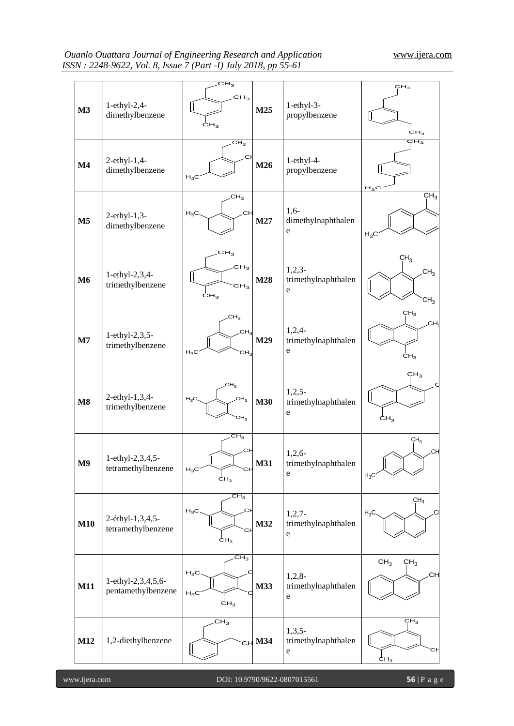| M3             | 1-ethyl-2,4-<br>dimethylbenzene          | $\overline{\mathrm{CH}_3}$<br>CH <sub>3</sub><br>CH <sub>3</sub> | M25        | 1-ethyl-3-<br>propylbenzene                    | CH <sub>3</sub><br>ĊН <sub>3</sub>                    |
|----------------|------------------------------------------|------------------------------------------------------------------|------------|------------------------------------------------|-------------------------------------------------------|
| $\mathbf{M}4$  | 2-ethyl-1,4-<br>dimethylbenzene          | CH <sub>3</sub><br>.Cŀ<br>$H_3C$                                 | M26        | $1-ethyl-4-$<br>propylbenzene                  | $\overline{\rm CH}_{3}$<br>$H_3C$                     |
| $\mathbf{M5}$  | $2$ -ethyl-1,3-<br>dimethylbenzene       | CH <sub>3</sub><br><b>CH</b><br>$H_3C$                           | M27        | $1,6-$<br>dimethylnaphthalen<br>e              | CH <sub>3</sub><br>$H_3C$                             |
| <b>M6</b>      | 1-ethyl-2,3,4-<br>trimethylbenzene       | $CH_3$<br>CH <sub>3</sub><br>CH <sub>3</sub><br>CH <sub>3</sub>  | M28        | $1,2,3-$<br>trimethylnaphthalen<br>$\mathbf e$ | CH <sub>3</sub><br>CH <sub>3</sub><br>CH <sub>3</sub> |
| $\mathbf{M}$ 7 | 1-ethyl-2,3,5-<br>trimethylbenzene       | CH <sub>3</sub><br>CH <sub>3</sub><br>$H_3C$<br>CH <sub>3</sub>  | M29        | $1,2,4-$<br>trimethylnaphthalen<br>e           | CH <sub>3</sub><br>.CH<br>CH <sub>3</sub>             |
| $\mathbf{M8}$  | 2-ethyl-1,3,4-<br>trimethylbenzene       | CH <sub>3</sub><br>CH <sub>3</sub><br>$H_3C$<br>CH <sub>3</sub>  | <b>M30</b> | $1,2,5-$<br>trimethylnaphthalen<br>$\mathbf e$ | CH <sub>3</sub><br>CH <sub>3</sub>                    |
| M9             | 1-ethyl-2,3,4,5-<br>tetramethylbenzene   | $CH_3$<br>.CH<br>$H_3C$<br>СF<br>$\dot{\mathsf{c}}\mathsf{H}_3$  | <b>M31</b> | 1,2,6<br>trimethylnaphthalen<br>e              | CH <sub>3</sub><br>.CH<br>$H_3C$                      |
| M10            | 2-éthyl-1,3,4,5-<br>tetramethylbenzene   | CH <sub>3</sub><br>CH<br>$H_3C$<br>Сŀ<br>CH <sub>3</sub>         | M32        | $1,2,7-$<br>trimethylnaphthalen<br>${\rm e}$   | CH <sub>3</sub><br>$H_3C$                             |
| <b>M11</b>     | 1-ethyl-2,3,4,5,6-<br>pentamethylbenzene | $CH_3$<br>$H_3C$<br>$H_3C$<br>CH <sub>3</sub>                    | M33        | $1,2,8-$<br>trimethylnaphthalen<br>${\bf e}$   | CH <sub>3</sub><br>CH <sub>3</sub><br>C⊦              |
| M12            | 1,2-diethylbenzene                       | CH <sub>3</sub>                                                  | $CH$ M34   | $1,3,5-$<br>trimethylnaphthalen<br>$\mathbf e$ | CH <sub>3</sub><br>C.I<br>$\text{CH}_3$               |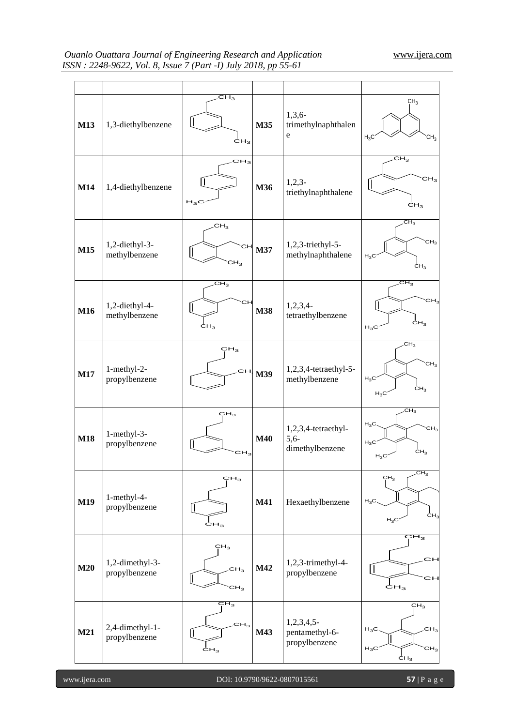| M13        | 1,3-diethylbenzene               | $CH_3$<br>$c_{H_3}$                                   | M35        | $1,3,6-$<br>trimethylnaphthalen<br>e             | CH <sub>3</sub><br>$H_3C$<br>CH <sub>3</sub>                                                 |
|------------|----------------------------------|-------------------------------------------------------|------------|--------------------------------------------------|----------------------------------------------------------------------------------------------|
| M14        | 1,4-diethylbenzene               | CH <sub>3</sub><br>$H_3C$                             | M36        | $1,2,3-$<br>triethylnaphthalene                  | CH <sub>3</sub><br>CH <sub>3</sub><br>CH <sub>3</sub>                                        |
| M15        | 1,2-diethyl-3-<br>methylbenzene  | CH <sub>3</sub><br>CН<br>CH <sub>3</sub>              | M37        | 1,2,3-triethyl-5-<br>methylnaphthalene           | CH <sub>3</sub><br>CH <sub>3</sub><br>$H_3C$<br>CH <sub>3</sub>                              |
| M16        | 1,2-diethyl-4-<br>methylbenzene  | CH <sub>3</sub><br>CН<br>CH <sub>3</sub>              | <b>M38</b> | $1,2,3,4$ -<br>tetraethylbenzene                 | $CH_3$<br>CH <sub>3</sub><br>$c_{H_3}$<br>$H_3C$                                             |
| M17        | 1-methyl-2-<br>propylbenzene     | CH <sub>3</sub><br>cн                                 | M39        | 1,2,3,4-tetraethyl-5-<br>methylbenzene           | CH <sub>3</sub><br>CH <sub>3</sub><br>$H_3C$<br>CH <sub>3</sub><br>$H_3C$                    |
| <b>M18</b> | 1-methyl-3-<br>propylbenzene     | CH <sub>3</sub><br>CH <sub>3</sub>                    | <b>M40</b> | 1,2,3,4-tetraethyl-<br>$5,6-$<br>dimethylbenzene | $CH_3$<br>$H_3C$<br>CH <sub>3</sub><br>$H_3C$<br>$\text{CH}_3$<br>$H_3C$                     |
| M19        | 1-methyl-4-<br>propylbenzene     | CH <sub>3</sub><br>$c_{H_3}$                          | M41        | Hexaethylbenzene                                 | CH <sub>3</sub><br>CH <sub>3</sub><br>$H_3C$<br>ĊН <sub>3</sub><br>$H_3C$                    |
| M20        | 1,2-dimethyl-3-<br>propylbenzene | CH <sub>3</sub><br>CH <sub>3</sub><br>CH <sub>3</sub> | M42        | 1,2,3-trimethyl-4-<br>propylbenzene              | CH <sub>3</sub><br>СH<br>СH<br>$\dot{\mathsf{c}}\mathsf{H}_3$                                |
| <b>M21</b> | 2,4-dimethyl-1-<br>propylbenzene | ÇН $_{3}$<br>CH <sub>3</sub><br>$c_{H_3}$             | M43        | $1,2,3,4,5-$<br>pentamethyl-6-<br>propylbenzene  | CH <sub>3</sub><br>CH <sub>3</sub><br>$H_3C$<br>$H_3C$<br>CH <sub>3</sub><br>CH <sub>3</sub> |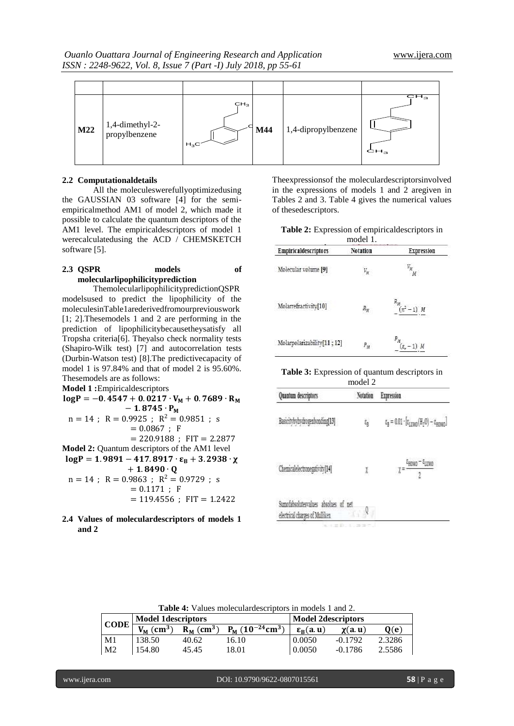*Ouanlo Ouattara Journal of Engineering Research and Application* [www.ijera.com](http://www.ijera.com/) *ISSN : 2248-9622, Vol. 8, Issue 7 (Part -I) July 2018, pp 55-61*

| M22 | 1,4-dimethyl-2-<br>propylbenzene | CH <sub>3</sub><br>$H_3C'$ | M44 | 1,4-dipropylbenzene | $\overline{\text{CH}_3}$<br>CH <sub>3</sub> |
|-----|----------------------------------|----------------------------|-----|---------------------|---------------------------------------------|

#### **2.2 Computationaldetails**

All the moleculeswerefullyoptimizedusing the GAUSSIAN 03 software [4] for the semiempiricalmethod AM1 of model 2, which made it possible to calculate the quantum descriptors of the AM1 level. The empiricaldescriptors of model 1 werecalculatedusing the ACD / CHEMSKETCH software [5].

# **2.3 QSPR models of molecularlipophilicityprediction**

ThemolecularlipophilicitypredictionQSPR modelsused to predict the lipophilicity of the moleculesinTable1arederivedfromourpreviouswork [1; 2].Thesemodels 1 and 2 are performing in the prediction of lipophilicitybecausetheysatisfy all Tropsha criteria[6]. Theyalso check normality tests (Shapiro-Wilk test) [7] and autocorrelation tests (Durbin-Watson test) [8].The predictivecapacity of model 1 is 97.84% and that of model 2 is 95.60%. Thesemodels are as follows:

**Model 1 :**Empiricaldescriptors

 $log P = -0.4547 + 0.0217 \cdot V_M + 0.7689 \cdot R_M$  $-1.8745 \cdot P_M$  $n = 14$ ;  $R = 0.9925$ ;  $R^2 = 0.9851$ ; s  $= 0.0867$ ; F  $= 220.9188$ ; FIT  $= 2.2877$ **Model 2:** Quantum descriptors of the AM1 level  $log P = 1.9891 - 417.8917 \cdot \epsilon_R + 3.2938 \cdot \chi$  $+ 1.8490 \cdot 0$  $n = 14$ ;  $R = 0.9863$ ;  $R^2 = 0.9729$ ; s  $= 0.1171$ ; F  $= 119.4556$ ; FIT  $= 1.2422$ 

**2.4 Values of moleculardescriptors of models 1 and 2**

Theexpressionsof the moleculardescriptorsinvolved in the expressions of models 1 and 2 aregiven in Tables 2 and 3. Table 4 gives the numerical values of thesedescriptors.

**Table 2:** Expression of empiricaldescriptors in model 1.

| Empiricaldescriptors       | Notation        | <b>Expression</b>           |
|----------------------------|-----------------|-----------------------------|
| Molecular volume [9]       | V <sub>st</sub> | v.,<br>M                    |
| Molarrefractivity[10]      | $R_M$           | $R_{\mu}$<br>$(n^2-1)$ M    |
| Molarpolarizability[11;12] | $P_M$           | $P_M$<br>$(\varepsilon_r -$ |

**Table 3:** Expression of quantum descriptors in

| model 2                                                                |          |                                                                                                  |  |  |  |  |  |
|------------------------------------------------------------------------|----------|--------------------------------------------------------------------------------------------------|--|--|--|--|--|
| Quantum descriptors                                                    | Notation | <b>Expression</b>                                                                                |  |  |  |  |  |
| Basicitybybydrogenbonding[13]                                          | ę,       | $\varepsilon_{\rm B} = 0.01 \cdot [\varepsilon_{\rm LUMO}({\rm H_2O}) - \varepsilon_{\rm EOMO}]$ |  |  |  |  |  |
| Chemicalelectronegativity[14]                                          | I        | $\epsilon_{\text{HOMO}} - \epsilon_{\text{LUMO}}$<br>$\mathcal{I}^{\pm}$<br>2                    |  |  |  |  |  |
| Sumofabsolutesvalues absolues of net<br>electrical charges of Mulliken |          |                                                                                                  |  |  |  |  |  |

**Table 4:** Values moleculardescriptors in models 1 and 2.

| <b>CODE</b>    | <b>Model 1 descriptors</b> |                          |                              | <b>Model 2descriptors</b> |              |        |
|----------------|----------------------------|--------------------------|------------------------------|---------------------------|--------------|--------|
|                | $V_M$ (cm <sup>3)</sup>    | $R_M$ (cm <sup>3</sup> ) | $P_M (10^{-24} \text{cm}^3)$ | $\epsilon_{\rm R}$ (a.u)  | $\chi(a, u)$ | 0(e)   |
| M1             | 138.50                     | 40.62                    | 16.10                        | 0.0050                    | $-0.1792$    | 2.3286 |
| M <sub>2</sub> | 154.80                     | 45.45                    | 8.01                         | 0.0050                    | $-0.1786$    | 2.5586 |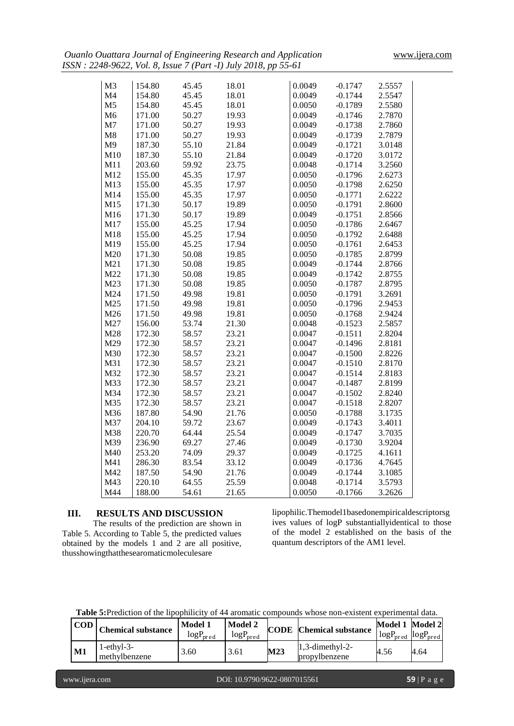| M <sub>3</sub>  | 154.80 | 45.45 | 18.01 | 0.0049 | $-0.1747$ | 2.5557 |
|-----------------|--------|-------|-------|--------|-----------|--------|
| M4              | 154.80 | 45.45 | 18.01 | 0.0049 | $-0.1744$ | 2.5547 |
| M <sub>5</sub>  | 154.80 | 45.45 | 18.01 | 0.0050 | $-0.1789$ | 2.5580 |
| M <sub>6</sub>  | 171.00 | 50.27 | 19.93 | 0.0049 | $-0.1746$ | 2.7870 |
| M <sub>7</sub>  | 171.00 | 50.27 | 19.93 | 0.0049 | $-0.1738$ | 2.7860 |
| M8              | 171.00 | 50.27 | 19.93 | 0.0049 | $-0.1739$ | 2.7879 |
| M <sub>9</sub>  | 187.30 | 55.10 | 21.84 | 0.0049 | $-0.1721$ | 3.0148 |
| M10             | 187.30 | 55.10 | 21.84 | 0.0049 | $-0.1720$ | 3.0172 |
| M11             | 203.60 | 59.92 | 23.75 | 0.0048 | $-0.1714$ | 3.2560 |
| M12             | 155.00 | 45.35 | 17.97 | 0.0050 | $-0.1796$ | 2.6273 |
| M13             | 155.00 | 45.35 | 17.97 | 0.0050 | $-0.1798$ | 2.6250 |
| M14             | 155.00 | 45.35 | 17.97 | 0.0050 | $-0.1771$ | 2.6222 |
| M15             | 171.30 | 50.17 | 19.89 | 0.0050 | $-0.1791$ | 2.8600 |
| M <sub>16</sub> | 171.30 | 50.17 | 19.89 | 0.0049 | $-0.1751$ | 2.8566 |
| M17             | 155.00 | 45.25 | 17.94 | 0.0050 | $-0.1786$ | 2.6467 |
| M18             | 155.00 | 45.25 | 17.94 | 0.0050 | $-0.1792$ | 2.6488 |
| M19             | 155.00 | 45.25 | 17.94 | 0.0050 | $-0.1761$ | 2.6453 |
| M20             | 171.30 | 50.08 | 19.85 | 0.0050 | $-0.1785$ | 2.8799 |
| M21             | 171.30 | 50.08 | 19.85 | 0.0049 | $-0.1744$ | 2.8766 |
| M22             | 171.30 | 50.08 | 19.85 | 0.0049 | $-0.1742$ | 2.8755 |
| M23             | 171.30 | 50.08 | 19.85 | 0.0050 | $-0.1787$ | 2.8795 |
| M24             | 171.50 | 49.98 | 19.81 | 0.0050 | $-0.1791$ | 3.2691 |
| M25             | 171.50 | 49.98 | 19.81 | 0.0050 | $-0.1796$ | 2.9453 |
| M26             | 171.50 | 49.98 | 19.81 | 0.0050 | $-0.1768$ | 2.9424 |
| M27             | 156.00 | 53.74 | 21.30 | 0.0048 | $-0.1523$ | 2.5857 |
| M28             | 172.30 | 58.57 | 23.21 | 0.0047 | $-0.1511$ | 2.8204 |
| M29             | 172.30 | 58.57 | 23.21 | 0.0047 | $-0.1496$ | 2.8181 |
| M30             | 172.30 | 58.57 | 23.21 | 0.0047 | $-0.1500$ | 2.8226 |
| M31             | 172.30 | 58.57 | 23.21 | 0.0047 | $-0.1510$ | 2.8170 |
| M32             | 172.30 | 58.57 | 23.21 | 0.0047 | $-0.1514$ | 2.8183 |
| M33             | 172.30 | 58.57 | 23.21 | 0.0047 | $-0.1487$ | 2.8199 |
| M34             | 172.30 | 58.57 | 23.21 | 0.0047 | $-0.1502$ | 2.8240 |
| M35             | 172.30 | 58.57 | 23.21 | 0.0047 | $-0.1518$ | 2.8207 |
| M36             | 187.80 | 54.90 | 21.76 | 0.0050 | $-0.1788$ | 3.1735 |
| M37             | 204.10 | 59.72 | 23.67 | 0.0049 | $-0.1743$ | 3.4011 |
| M38             | 220.70 | 64.44 | 25.54 | 0.0049 | $-0.1747$ | 3.7035 |
| M39             | 236.90 | 69.27 | 27.46 | 0.0049 | $-0.1730$ | 3.9204 |
| M40             | 253.20 | 74.09 | 29.37 | 0.0049 | $-0.1725$ | 4.1611 |
| M41             | 286.30 | 83.54 | 33.12 | 0.0049 | $-0.1736$ | 4.7645 |
| M42             | 187.50 | 54.90 | 21.76 | 0.0049 | $-0.1744$ | 3.1085 |
| M43             | 220.10 | 64.55 | 25.59 | 0.0048 | $-0.1714$ | 3.5793 |
| M44             | 188.00 | 54.61 | 21.65 | 0.0050 | $-0.1766$ | 3.2626 |

# **III. RESULTS AND DISCUSSION**

The results of the prediction are shown in Table 5. According to Table 5, the predicted values obtained by the models 1 and 2 are all positive, thusshowingthatthesearomaticmoleculesare

lipophilic.Themodel1basedonempiricaldescriptorsg ives values of logP substantiallyidentical to those of the model 2 established on the basis of the quantum descriptors of the AM1 level.

**Table 5:**Prediction of the lipophilicity of 44 aromatic compounds whose non-existent experimental data.

| <b>COD</b>    | <b>Chemical substance</b>         | Model 1<br>logP <sub>pred</sub> | <b>Model 2</b><br>$log P_{\mathrm{pred}}$ | <b>CODE</b> | <b>Chemical substance</b>           | Model 1<br>$logPpred$ $logPpred$ | Model 2 |
|---------------|-----------------------------------|---------------------------------|-------------------------------------------|-------------|-------------------------------------|----------------------------------|---------|
| $\mathbf{M1}$ | $1$ -ethy $1-3-$<br>methylbenzene | 5.60                            | 3.61                                      | M23         | $1.3$ -dimethyl-2-<br>propylbenzene | 4.56                             | 4.64    |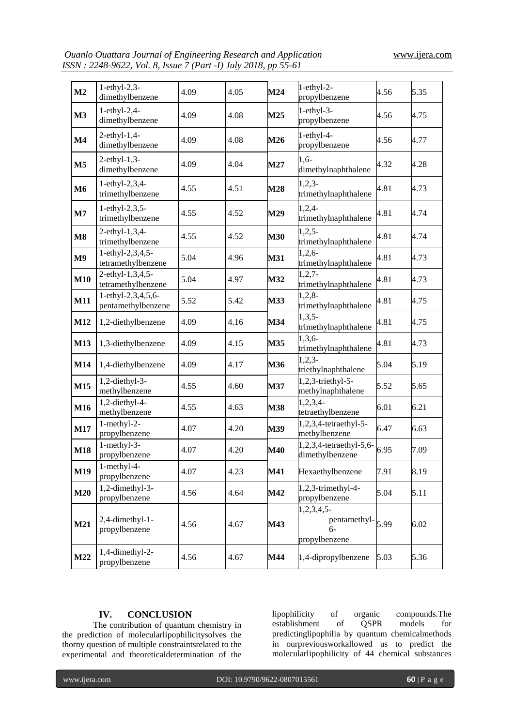| M <sub>2</sub> | $1-ethyl-2,3-$<br>dimethylbenzene        | 4.09 | 4.05 | M24        | $1-ethyl-2-$<br>propylbenzene                                                    | 4.56 | 5.35 |
|----------------|------------------------------------------|------|------|------------|----------------------------------------------------------------------------------|------|------|
| M3             | $1-ethyl-2,4-$<br>dimethylbenzene        | 4.09 | 4.08 | M25        | $1-ethyl-3-$<br>propylbenzene                                                    | 4.56 | 4.75 |
| $\mathbf{M}4$  | $2$ -ethyl-1,4-<br>dimethylbenzene       | 4.09 | 4.08 | M26        | $1-ethyl-4-$<br>propylbenzene                                                    | 4.56 | 4.77 |
| M <sub>5</sub> | $2$ -ethyl-1,3-<br>dimethylbenzene       | 4.09 | 4.04 | M27        | $1,6-$<br>dimethylnaphthalene                                                    | 4.32 | 4.28 |
| <b>M6</b>      | 1-ethyl-2,3,4-<br>trimethylbenzene       | 4.55 | 4.51 | M28        | $1,2,3-$<br>trimethylnaphthalene                                                 | 4.81 | 4.73 |
| $\mathbf{M}$   | 1-ethyl-2,3,5-<br>trimethylbenzene       | 4.55 | 4.52 | M29        | $1,2,4-$<br>trimethylnaphthalene                                                 | 4.81 | 4.74 |
| $\mathbf{M}8$  | 2-ethyl-1,3,4-<br>trimethylbenzene       | 4.55 | 4.52 | <b>M30</b> | $1,2,5-$<br>trimethylnaphthalene                                                 | 4.81 | 4.74 |
| M <sub>9</sub> | 1-ethyl-2,3,4,5-<br>tetramethylbenzene   | 5.04 | 4.96 | <b>M31</b> | $1,2,6-$<br>trimethylnaphthalene                                                 | 4.81 | 4.73 |
| M10            | 2-ethyl-1,3,4,5-<br>tetramethylbenzene   | 5.04 | 4.97 | M32        | $1,2,7-$<br>trimethylnaphthalene                                                 | 4.81 | 4.73 |
| <b>M11</b>     | 1-ethyl-2,3,4,5,6-<br>pentamethylbenzene | 5.52 | 5.42 | M33        | $1,2,8-$<br>trimethylnaphthalene                                                 | 4.81 | 4.75 |
| M12            | 1,2-diethylbenzene                       | 4.09 | 4.16 | M34        | $1,3,5-$<br>trimethylnaphthalene                                                 | 4.81 | 4.75 |
| M13            | 1,3-diethylbenzene                       | 4.09 | 4.15 | M35        | $1,3,6-$<br>trimethylnaphthalene                                                 | 4.81 | 4.73 |
| M14            | 1,4-diethylbenzene                       | 4.09 | 4.17 | M36        | $1,2,3-$<br>triethylnaphthalene                                                  | 5.04 | 5.19 |
| M15            | 1,2-diethyl-3-<br>methylbenzene          | 4.55 | 4.60 | M37        | 1,2,3-triethyl-5-<br>methylnaphthalene                                           | 5.52 | 5.65 |
| M16            | 1,2-diethyl-4-<br>methylbenzene          | 4.55 | 4.63 | M38        | $1,2,3,4-$<br>tetraethylbenzene                                                  | 6.01 | 6.21 |
| <b>M17</b>     | $1$ -methyl-2-<br>propylbenzene          | 4.07 | 4.20 | M39        | 1,2,3,4-tetraethyl-5-<br>methylbenzene                                           | 6.47 | 6.63 |
| <b>M18</b>     | $1$ -methyl-3-<br>propylbenzene          | 4.07 | 4.20 | M40        | 1,2,3,4-tetraethyl-5,6-<br>dimethylbenzene                                       | 6.95 | 7.09 |
| M19            | 1-methyl-4-<br>propylbenzene             | 4.07 | 4.23 | <b>M41</b> | Hexaethylbenzene                                                                 | 7.91 | 8.19 |
| M20            | $1,2$ -dimethyl-3-<br>propylbenzene      | 4.56 | 4.64 | M42        | 1,2,3-trimethyl-4-<br>propylbenzene                                              | 5.04 | 5.11 |
| M21            | 2,4-dimethyl-1-<br>propylbenzene         | 4.56 | 4.67 | M43        | $1,2,3,4,5$ -<br>pentamethyl- $\left 5.99\right\rangle$<br>$6-$<br>propylbenzene |      | 6.02 |
| M22            | 1,4-dimethyl-2-<br>propylbenzene         | 4.56 | 4.67 | M44        | 1,4-dipropylbenzene                                                              | 5.03 | 5.36 |

# **IV. CONCLUSION**

The contribution of quantum chemistry in the prediction of molecularlipophilicitysolves the thorny question of multiple constraintsrelated to the experimental and theoreticaldetermination of the lipophilicity of organic compounds.The establishment of QSPR models for predictinglipophilia by quantum chemicalmethods in ourpreviousworkallowed us to predict the molecularlipophilicity of 44 chemical substances